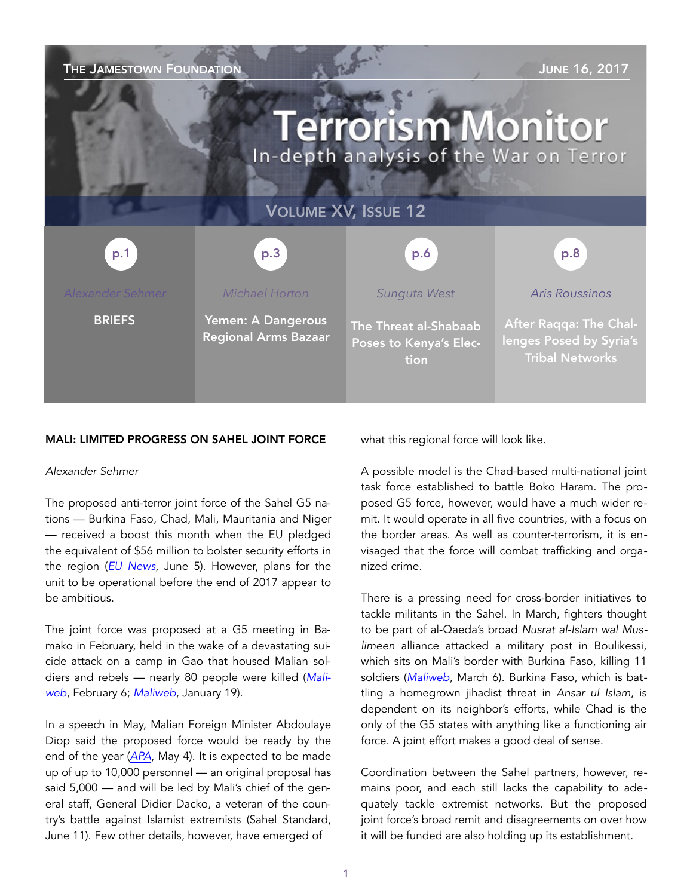| THE JAMESTOWN FOUNDATION<br><b>JUNE 16, 2017</b><br><b>Terrorism Monitor</b><br>In-depth analysis of the War on Terror |                                                   |                                                         |                                                                                    |
|------------------------------------------------------------------------------------------------------------------------|---------------------------------------------------|---------------------------------------------------------|------------------------------------------------------------------------------------|
| <b>VOLUME XV, ISSUE 12</b>                                                                                             |                                                   |                                                         |                                                                                    |
| p.1                                                                                                                    | p.3                                               | p.6                                                     | p.8                                                                                |
| <b>Alexander Sehmer</b>                                                                                                | Michael Horton                                    | Sunguta West                                            | <b>Aris Roussinos</b>                                                              |
| <b>BRIEFS</b>                                                                                                          | Yemen: A Dangerous<br><b>Regional Arms Bazaar</b> | The Threat al-Shabaab<br>Poses to Kenya's Elec-<br>tion | <b>After Raqqa: The Chal-</b><br>lenges Posed by Syria's<br><b>Tribal Networks</b> |

#### MALI: LIMITED PROGRESS ON SAHEL JOINT FORCE

#### *Alexander Sehmer*

The proposed anti-terror joint force of the Sahel G5 nations — Burkina Faso, Chad, Mali, Mauritania and Niger — received a boost this month when the EU pledged the equivalent of \$56 million to bolster security efforts in the region (*[EU News](http://europa.eu/rapid/press-release_IP-17-1542_en.htm)*, June 5). However, plans for the unit to be operational before the end of 2017 appear to be ambitious.

The joint force was proposed at a G5 meeting in Bamako in February, held in the wake of a devastating suicide attack on a camp in Gao that housed Malian soldiers and rebels — nearly 80 people were killed (*[Mali](http://www.maliweb.net/insecurite/g5-sahel-limpact-de-situation-securitaire-mali-sahel-peigne-fin-2032042.html)[web](http://www.maliweb.net/insecurite/g5-sahel-limpact-de-situation-securitaire-mali-sahel-peigne-fin-2032042.html)*, February 6; *[Maliweb](http://www.maliweb.net/la-situation-politique-et-securitaire-au-nord/nouveau-bilan-annonce-70-morts-lattentat-de-gao-2001162.html)*, January 19).

In a speech in May, Malian Foreign Minister Abdoulaye Diop said the proposed force would be ready by the end of the year (*[APA](http://apanews.net/en/news/sahel-g5-to-set-up-joint-force-by-end-of-year)*, May 4). It is expected to be made up of up to 10,000 personnel — an original proposal has said 5,000 — and will be led by Mali's chief of the general staff, General Didier Dacko, a veteran of the country's battle against Islamist extremists (Sahel Standard, June 11). Few other details, however, have emerged of

what this regional force will look like.

A possible model is the Chad-based multi-national joint task force established to battle Boko Haram. The proposed G5 force, however, would have a much wider remit. It would operate in all five countries, with a focus on the border areas. As well as counter-terrorism, it is envisaged that the force will combat trafficking and organized crime.

There is a pressing need for cross-border initiatives to tackle militants in the Sahel. In March, fighters thought to be part of al-Qaeda's broad *Nusrat al-Islam wal Muslimeen* alliance attacked a military post in Boulikessi, which sits on Mali's border with Burkina Faso, killing 11 soldiers (*[Maliweb](http://www.maliweb.net/armee/mali-attaque-meurtriere-a-boulikessi-a-frontiere-burkina-faso-2096792.html)*, March 6). Burkina Faso, which is battling a homegrown jihadist threat in *Ansar ul Islam*, is dependent on its neighbor's efforts, while Chad is the only of the G5 states with anything like a functioning air force. A joint effort makes a good deal of sense.

Coordination between the Sahel partners, however, remains poor, and each still lacks the capability to adequately tackle extremist networks. But the proposed joint force's broad remit and disagreements on over how it will be funded are also holding up its establishment.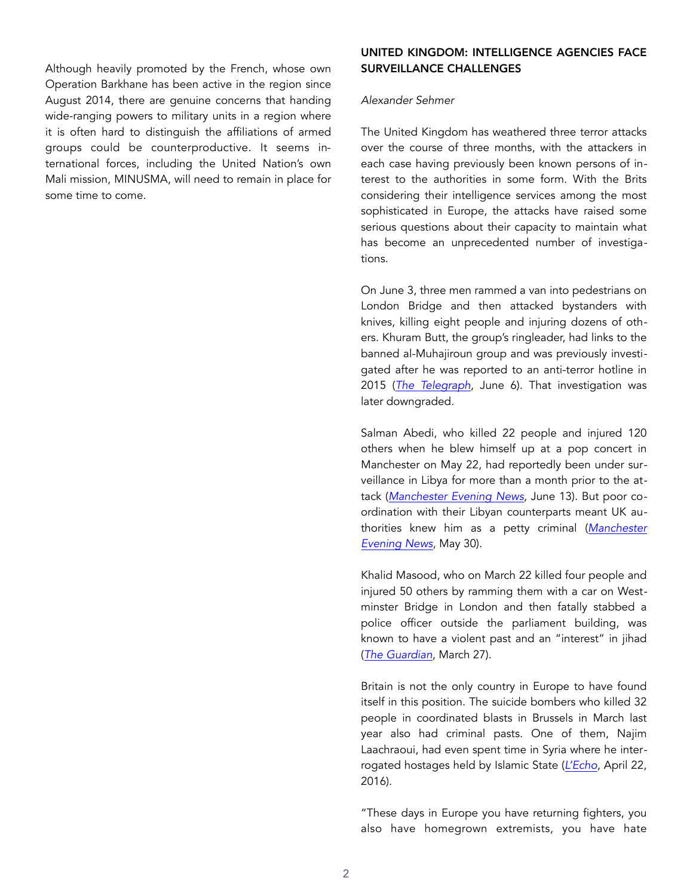Although heavily promoted by the French, whose own Operation Barkhane has been active in the region since August 2014, there are genuine concerns that handing wide-ranging powers to military units in a region where it is often hard to distinguish the affiliations of armed groups could be counterproductive. It seems international forces, including the United Nation's own Mali mission, MINUSMA, will need to remain in place for some time to come.

## UNITED KINGDOM: INTELLIGENCE AGENCIES FACE SURVEILLANCE CHALLENGES

#### *Alexander Sehmer*

The United Kingdom has weathered three terror attacks over the course of three months, with the attackers in each case having previously been known persons of interest to the authorities in some form. With the Brits considering their intelligence services among the most sophisticated in Europe, the attacks have raised some serious questions about their capacity to maintain what has become an unprecedented number of investigations.

On June 3, three men rammed a van into pedestrians on London Bridge and then attacked bystanders with knives, killing eight people and injuring dozens of others. Khuram Butt, the group's ringleader, had links to the banned al-Muhajiroun group and was previously investigated after he was reported to an anti-terror hotline in 2015 (*[The Telegraph](http://www.telegraph.co.uk/news/2017/06/05/ringleader-london-bridge-terror-attack-named-khuram-butt/)*, June 6). That investigation was later downgraded.

Salman Abedi, who killed 22 people and injured 120 others when he blew himself up at a pop concert in Manchester on May 22, had reportedly been under surveillance in Libya for more than a month prior to the attack (*[Manchester Evening News](http://www.manchestereveningnews.co.uk/news/greater-manchester-news/salman-abedi-libya-security-report-13176523)*, June 13). But poor coordination with their Libyan counterparts meant UK authorities knew him as a petty criminal (*[Manchester](http://www.manchestereveningnews.co.uk/news/greater-manchester-news/manchester-arena-bomber-salman-abedi-13111727)  [Evening News](http://www.manchestereveningnews.co.uk/news/greater-manchester-news/manchester-arena-bomber-salman-abedi-13111727)*, May 30).

Khalid Masood, who on March 22 killed four people and injured 50 others by ramming them with a car on Westminster Bridge in London and then fatally stabbed a police officer outside the parliament building, was known to have a violent past and an "interest" in jihad (*[The Guardian](https://www.theguardian.com/uk-news/2017/mar/27/westminster-attacker-khalid-masood-not-directed-by-isis-met-police)*, March 27).

Britain is not the only country in Europe to have found itself in this position. The suicide bombers who killed 32 people in coordinated blasts in Brussels in March last year also had criminal pasts. One of them, Najim Laachraoui, had even spent time in Syria where he interrogated hostages held by Islamic State (*[L'Echo](http://www.lecho.be/dossier/attaquesparis/Najim-Laachraoui-a-ete-geolier-en-Syrie/9757821)*, April 22, 2016).

"These days in Europe you have returning fighters, you also have homegrown extremists, you have hate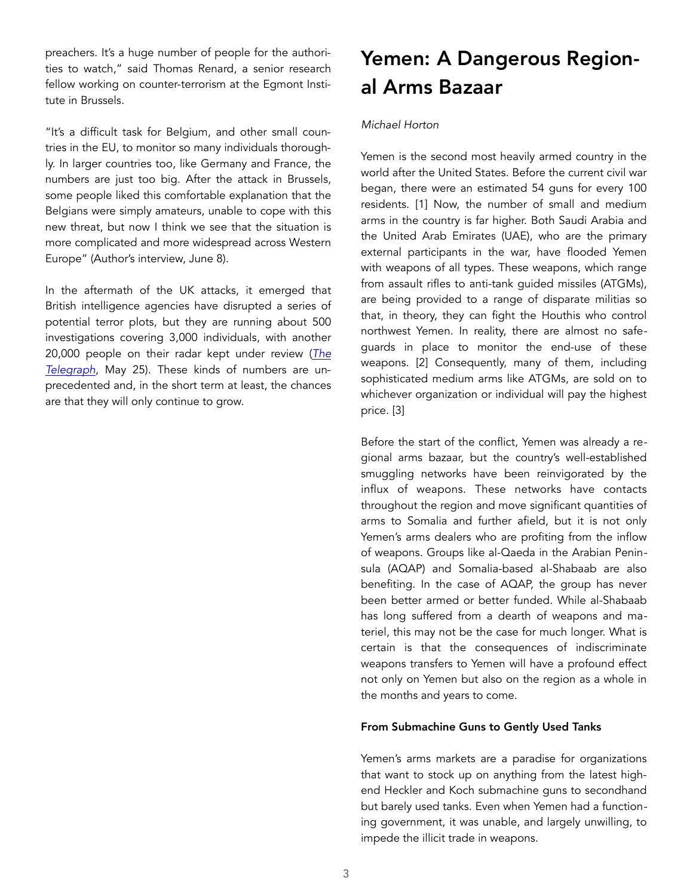preachers. It's a huge number of people for the authorities to watch," said Thomas Renard, a senior research fellow working on counter-terrorism at the Egmont Institute in Brussels.

"It's a difficult task for Belgium, and other small countries in the EU, to monitor so many individuals thoroughly. In larger countries too, like Germany and France, the numbers are just too big. After the attack in Brussels, some people liked this comfortable explanation that the Belgians were simply amateurs, unable to cope with this new threat, but now I think we see that the situation is more complicated and more widespread across Western Europe" (Author's interview, June 8).

In the aftermath of the UK attacks, it emerged that British intelligence agencies have disrupted a series of potential terror plots, but they are running about 500 investigations covering 3,000 individuals, with another 20,000 people on their radar kept under review (*[The](http://www.telegraph.co.uk/news/2017/05/25/five-uk-terror-plots-disrupted-past-two-months-mi5-battles-unparalleled/)  [Telegraph](http://www.telegraph.co.uk/news/2017/05/25/five-uk-terror-plots-disrupted-past-two-months-mi5-battles-unparalleled/)*, May 25). These kinds of numbers are unprecedented and, in the short term at least, the chances are that they will only continue to grow.

# Yemen: A Dangerous Regional Arms Bazaar

## *Michael Horton*

Yemen is the second most heavily armed country in the world after the United States. Before the current civil war began, there were an estimated 54 guns for every 100 residents. [1] Now, the number of small and medium arms in the country is far higher. Both Saudi Arabia and the United Arab Emirates (UAE), who are the primary external participants in the war, have flooded Yemen with weapons of all types. These weapons, which range from assault rifles to anti-tank guided missiles (ATGMs), are being provided to a range of disparate militias so that, in theory, they can fight the Houthis who control northwest Yemen. In reality, there are almost no safeguards in place to monitor the end-use of these weapons. [2] Consequently, many of them, including sophisticated medium arms like ATGMs, are sold on to whichever organization or individual will pay the highest price. [3]

Before the start of the conflict, Yemen was already a regional arms bazaar, but the country's well-established smuggling networks have been reinvigorated by the influx of weapons. These networks have contacts throughout the region and move significant quantities of arms to Somalia and further afield, but it is not only Yemen's arms dealers who are profiting from the inflow of weapons. Groups like al-Qaeda in the Arabian Peninsula (AQAP) and Somalia-based al-Shabaab are also benefiting. In the case of AQAP, the group has never been better armed or better funded. While al-Shabaab has long suffered from a dearth of weapons and materiel, this may not be the case for much longer. What is certain is that the consequences of indiscriminate weapons transfers to Yemen will have a profound effect not only on Yemen but also on the region as a whole in the months and years to come.

#### From Submachine Guns to Gently Used Tanks

Yemen's arms markets are a paradise for organizations that want to stock up on anything from the latest highend Heckler and Koch submachine guns to secondhand but barely used tanks. Even when Yemen had a functioning government, it was unable, and largely unwilling, to impede the illicit trade in weapons.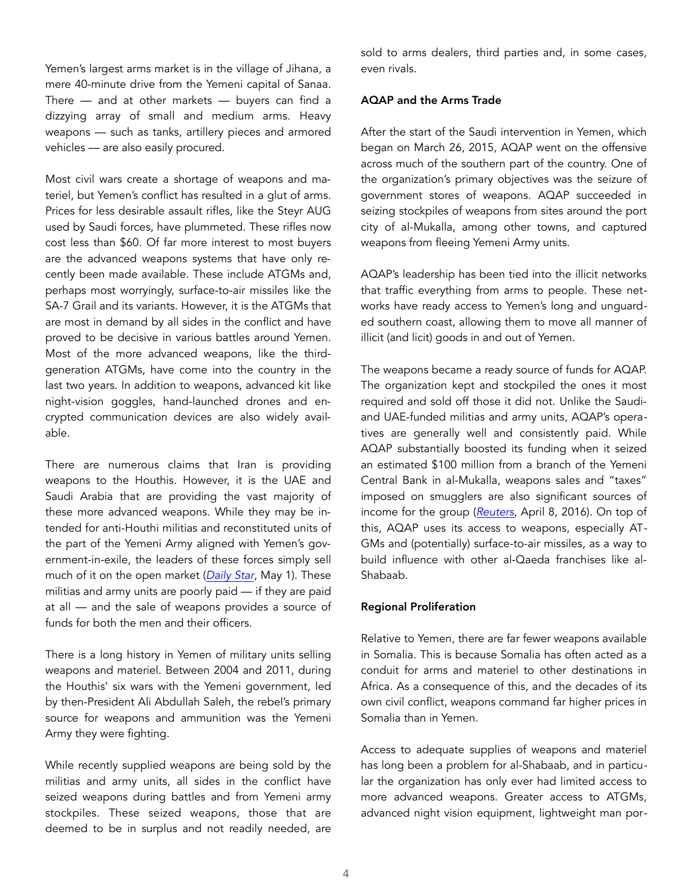Yemen's largest arms market is in the village of Jihana, a mere 40-minute drive from the Yemeni capital of Sanaa. There  $-$  and at other markets  $-$  buyers can find a dizzying array of small and medium arms. Heavy weapons — such as tanks, artillery pieces and armored vehicles — are also easily procured.

Most civil wars create a shortage of weapons and materiel, but Yemen's conflict has resulted in a glut of arms. Prices for less desirable assault rifles, like the Steyr AUG used by Saudi forces, have plummeted. These rifles now cost less than \$60. Of far more interest to most buyers are the advanced weapons systems that have only recently been made available. These include ATGMs and, perhaps most worryingly, surface-to-air missiles like the SA-7 Grail and its variants. However, it is the ATGMs that are most in demand by all sides in the conflict and have proved to be decisive in various battles around Yemen. Most of the more advanced weapons, like the thirdgeneration ATGMs, have come into the country in the last two years. In addition to weapons, advanced kit like night-vision goggles, hand-launched drones and encrypted communication devices are also widely available.

There are numerous claims that Iran is providing weapons to the Houthis. However, it is the UAE and Saudi Arabia that are providing the vast majority of these more advanced weapons. While they may be intended for anti-Houthi militias and reconstituted units of the part of the Yemeni Army aligned with Yemen's government-in-exile, the leaders of these forces simply sell much of it on the open market (*[Daily Star](http://www.dailystar.com.lb/News/Middle-East/2017/May-01/404115-al-qaeda-leader-says-group-fought-alongside-us-backed-forces-in-yemen.ashx)*, May 1). These militias and army units are poorly paid — if they are paid at all — and the sale of weapons provides a source of funds for both the men and their officers.

There is a long history in Yemen of military units selling weapons and materiel. Between 2004 and 2011, during the Houthis' six wars with the Yemeni government, led by then-President Ali Abdullah Saleh, the rebel's primary source for weapons and ammunition was the Yemeni Army they were fighting.

While recently supplied weapons are being sold by the militias and army units, all sides in the conflict have seized weapons during battles and from Yemeni army stockpiles. These seized weapons, those that are deemed to be in surplus and not readily needed, are sold to arms dealers, third parties and, in some cases, even rivals.

## AQAP and the Arms Trade

After the start of the Saudi intervention in Yemen, which began on March 26, 2015, AQAP went on the offensive across much of the southern part of the country. One of the organization's primary objectives was the seizure of government stores of weapons. AQAP succeeded in seizing stockpiles of weapons from sites around the port city of al-Mukalla, among other towns, and captured weapons from fleeing Yemeni Army units.

AQAP's leadership has been tied into the illicit networks that traffic everything from arms to people. These networks have ready access to Yemen's long and unguarded southern coast, allowing them to move all manner of illicit (and licit) goods in and out of Yemen.

The weapons became a ready source of funds for AQAP. The organization kept and stockpiled the ones it most required and sold off those it did not. Unlike the Saudiand UAE-funded militias and army units, AQAP's operatives are generally well and consistently paid. While AQAP substantially boosted its funding when it seized an estimated \$100 million from a branch of the Yemeni Central Bank in al-Mukalla, weapons sales and "taxes" imposed on smugglers are also significant sources of income for the group (*[Reuters](http://www.reuters.com/investigates/special-report/yemen-aqap/)*, April 8, 2016). On top of this, AQAP uses its access to weapons, especially AT-GMs and (potentially) surface-to-air missiles, as a way to build influence with other al-Qaeda franchises like al-Shabaab.

#### Regional Proliferation

Relative to Yemen, there are far fewer weapons available in Somalia. This is because Somalia has often acted as a conduit for arms and materiel to other destinations in Africa. As a consequence of this, and the decades of its own civil conflict, weapons command far higher prices in Somalia than in Yemen.

Access to adequate supplies of weapons and materiel has long been a problem for al-Shabaab, and in particular the organization has only ever had limited access to more advanced weapons. Greater access to ATGMs, advanced night vision equipment, lightweight man por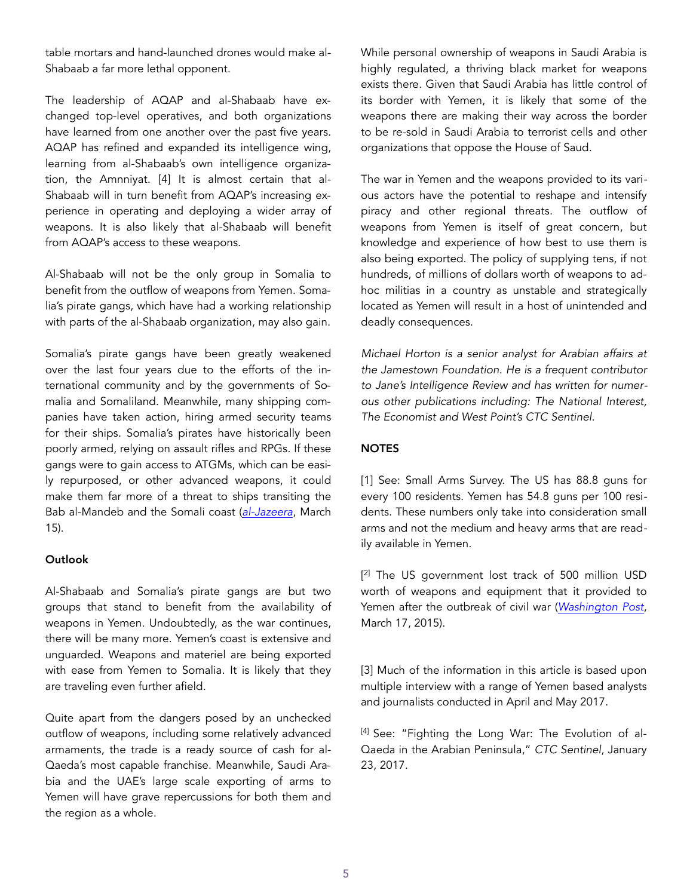table mortars and hand-launched drones would make al-Shabaab a far more lethal opponent.

The leadership of AQAP and al-Shabaab have exchanged top-level operatives, and both organizations have learned from one another over the past five years. AQAP has refined and expanded its intelligence wing, learning from al-Shabaab's own intelligence organization, the Amnniyat. [4] It is almost certain that al-Shabaab will in turn benefit from AQAP's increasing experience in operating and deploying a wider array of weapons. It is also likely that al-Shabaab will benefit from AQAP's access to these weapons.

Al-Shabaab will not be the only group in Somalia to benefit from the outflow of weapons from Yemen. Somalia's pirate gangs, which have had a working relationship with parts of the al-Shabaab organization, may also gain.

Somalia's pirate gangs have been greatly weakened over the last four years due to the efforts of the international community and by the governments of Somalia and Somaliland. Meanwhile, many shipping companies have taken action, hiring armed security teams for their ships. Somalia's pirates have historically been poorly armed, relying on assault rifles and RPGs. If these gangs were to gain access to ATGMs, which can be easily repurposed, or other advanced weapons, it could make them far more of a threat to ships transiting the Bab al-Mandeb and the Somali coast (*[al-Jazeera](http://www.aljazeera.com/news/2017/03/somalia-pirates-anger-fuels-return-ship-attacks-170315191915900.html)*, March 15).

## Outlook

Al-Shabaab and Somalia's pirate gangs are but two groups that stand to benefit from the availability of weapons in Yemen. Undoubtedly, as the war continues, there will be many more. Yemen's coast is extensive and unguarded. Weapons and materiel are being exported with ease from Yemen to Somalia. It is likely that they are traveling even further afield.

Quite apart from the dangers posed by an unchecked outflow of weapons, including some relatively advanced armaments, the trade is a ready source of cash for al-Qaeda's most capable franchise. Meanwhile, Saudi Arabia and the UAE's large scale exporting of arms to Yemen will have grave repercussions for both them and the region as a whole.

While personal ownership of weapons in Saudi Arabia is highly regulated, a thriving black market for weapons exists there. Given that Saudi Arabia has little control of its border with Yemen, it is likely that some of the weapons there are making their way across the border to be re-sold in Saudi Arabia to terrorist cells and other organizations that oppose the House of Saud.

The war in Yemen and the weapons provided to its various actors have the potential to reshape and intensify piracy and other regional threats. The outflow of weapons from Yemen is itself of great concern, but knowledge and experience of how best to use them is also being exported. The policy of supplying tens, if not hundreds, of millions of dollars worth of weapons to adhoc militias in a country as unstable and strategically located as Yemen will result in a host of unintended and deadly consequences.

*Michael Horton is a senior analyst for Arabian affairs at the Jamestown Foundation. He is a frequent contributor to Jane's Intelligence Review and has written for numerous other publications including: The National Interest, The Economist and West Point's CTC Sentinel.* 

## **NOTES**

[1] See: Small Arms Survey. The US has 88.8 guns for every 100 residents. Yemen has 54.8 guns per 100 residents. These numbers only take into consideration small arms and not the medium and heavy arms that are readily available in Yemen.

[ 2] The US government lost track of 500 million USD worth of weapons and equipment that it provided to Yemen after the outbreak of civil war (*[Washington Post](https://www.washingtonpost.com/world/national-security/pentagon-loses-sight-of-500-million-in-counterterrorism-aid-given-to-yemen/2015/03/17/f4ca25ce-cbf9-11e4-8a46-b1dc9be5a8ff_story.html?utm_term=.c493bc459f0b)*, March 17, 2015).

[3] Much of the information in this article is based upon multiple interview with a range of Yemen based analysts and journalists conducted in April and May 2017.

[4] See: "Fighting the Long War: The Evolution of al-Qaeda in the Arabian Peninsula," *CTC Sentinel*, January 23, 2017.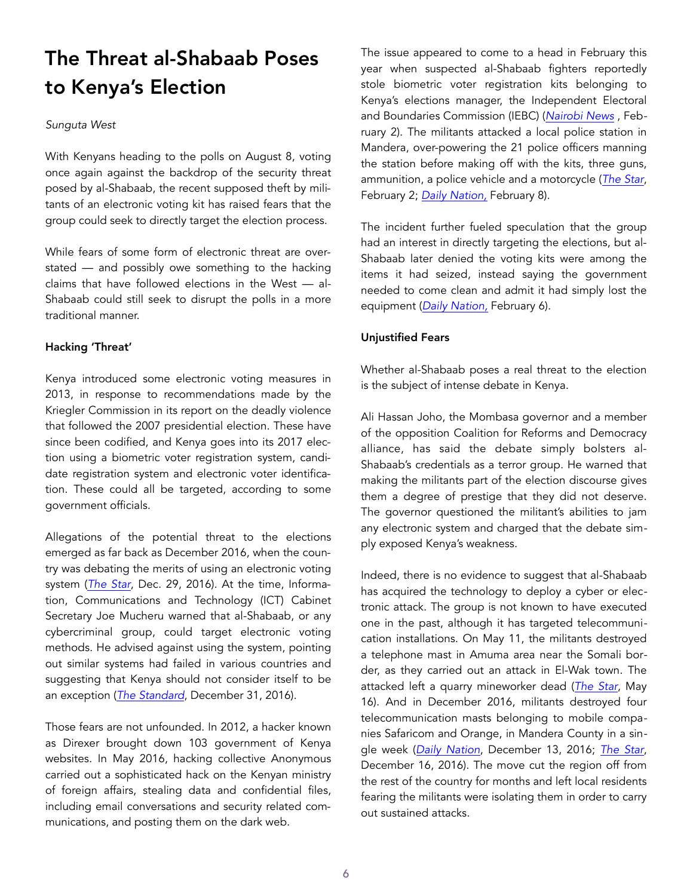# The Threat al-Shabaab Poses to Kenya's Election

### *Sunguta West*

With Kenyans heading to the polls on August 8, voting once again against the backdrop of the security threat posed by al-Shabaab, the recent supposed theft by militants of an electronic voting kit has raised fears that the group could seek to directly target the election process.

While fears of some form of electronic threat are overstated — and possibly owe something to the hacking claims that have followed elections in the West — al-Shabaab could still seek to disrupt the polls in a more traditional manner.

## Hacking 'Threat'

Kenya introduced some electronic voting measures in 2013, in response to recommendations made by the Kriegler Commission in its report on the deadly violence that followed the 2007 presidential election. These have since been codified, and Kenya goes into its 2017 election using a biometric voter registration system, candidate registration system and electronic voter identification. These could all be targeted, according to some government officials.

Allegations of the potential threat to the elections emerged as far back as December 2016, when the country was debating the merits of using an electronic voting system (*[The Star](http://www.the-star.co.ke/news/2016/12/29/al-shabaab-can-interefere-with-electronic-voting-system-cs-mucheru_c1479566)*, Dec. 29, 2016). At the time, Information, Communications and Technology (ICT) Cabinet Secretary Joe Mucheru warned that al-Shabaab, or any cybercriminal group, could target electronic voting methods. He advised against using the system, pointing out similar systems had failed in various countries and suggesting that Kenya should not consider itself to be an exception (*[The Standard](https://www.standardmedia.co.ke/ureport/article/2000228428/al-shabaab-plans-to-hack-into-kenya-s-election-claims-are-so-worrying)*, December 31, 2016).

Those fears are not unfounded. In 2012, a hacker known as Direxer brought down 103 government of Kenya websites. In May 2016, hacking collective Anonymous carried out a sophisticated hack on the Kenyan ministry of foreign affairs, stealing data and confidential files, including email conversations and security related communications, and posting them on the dark web.

The issue appeared to come to a head in February this year when suspected al-Shabaab fighters reportedly stole biometric voter registration kits belonging to Kenya's elections manager, the Independent Electoral and Boundaries Commission (IEBC) (*[Nairobi News](http://nairobinews.nation.co.ke/news/al-shabaab-mandera-steal-bvr-kits/)* , February 2). The militants attacked a local police station in Mandera, over-powering the 21 police officers manning the station before making off with the kits, three guns, ammunition, a police vehicle and a motorcycle (*[The Star](http://www.the-star.co.ke/news/2017/02/02/al-shabaab-steal-bvr-kits-guns-police-car-in-arabia-police-post-raid_c1499305)*, February 2; *[Daily Nation,](http://www.nation.co.ke/counties/mandera/Shabaab-stole-BVR-Kits/1183298-3804898-format-xhtml-y7dy7lz/index.html)* February 8).

The incident further fueled speculation that the group had an interest in directly targeting the elections, but al-Shabaab later denied the voting kits were among the items it had seized, instead saying the government needed to come clean and admit it had simply lost the equipment (*[Daily Nation,](http://www.nation.co.ke/news/Al-Shabaab-denies-stealing-bvr-kit/1056-3801202-u9d5duz/)* February 6).

## Unjustified Fears

Whether al-Shabaab poses a real threat to the election is the subject of intense debate in Kenya.

Ali Hassan Joho, the Mombasa governor and a member of the opposition Coalition for Reforms and Democracy alliance, has said the debate simply bolsters al-Shabaab's credentials as a terror group. He warned that making the militants part of the election discourse gives them a degree of prestige that they did not deserve. The governor questioned the militant's abilities to jam any electronic system and charged that the debate simply exposed Kenya's weakness.

Indeed, there is no evidence to suggest that al-Shabaab has acquired the technology to deploy a cyber or electronic attack. The group is not known to have executed one in the past, although it has targeted telecommunication installations. On May 11, the militants destroyed a telephone mast in Amuma area near the Somali border, as they carried out an attack in El-Wak town. The attacked left a quarry mineworker dead (*[The Star](http://www.the-star.co.ke/news/2017/05/16/suspected-al-shabaab-militants-kill-chief-abduct-two-kprs-in-mandera_c1562050)*, May 16). And in December 2016, militants destroyed four telecommunication masts belonging to mobile companies Safaricom and Orange, in Mandera County in a single week (*[Daily Nation](http://www.nation.co.ke/counties/mandera/Shabaab-attack-again-Mandera/1183298-3484586-format-xhtml-144hmmu/index.html)*, December 13, 2016; *[The Star](http://www.the-star.co.ke/news/2016/12/16/mast-attacks-signal-terror-assault-roba_c1473808)*, December 16, 2016). The move cut the region off from the rest of the country for months and left local residents fearing the militants were isolating them in order to carry out sustained attacks.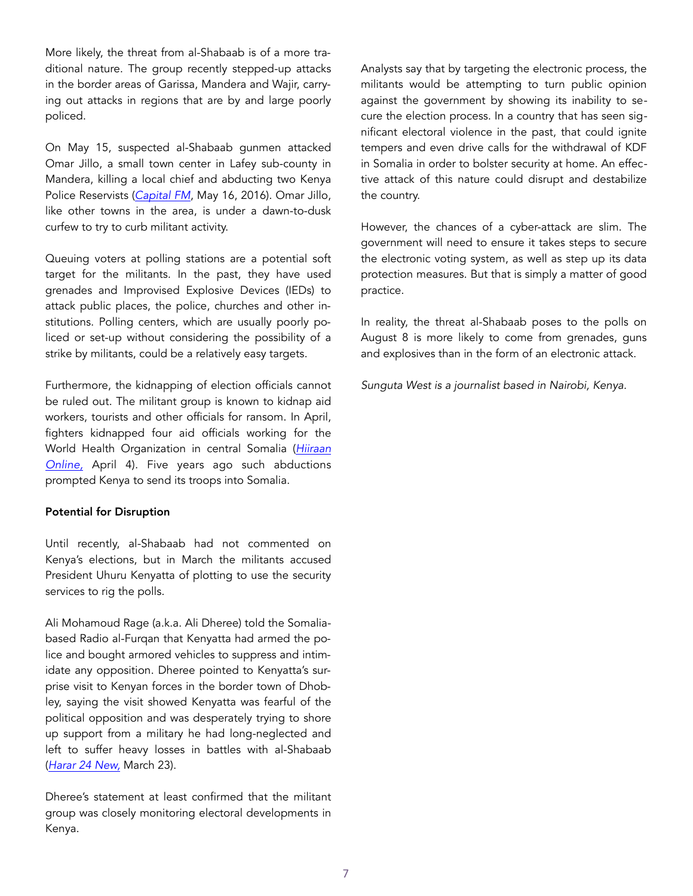More likely, the threat from al-Shabaab is of a more traditional nature. The group recently stepped-up attacks in the border areas of Garissa, Mandera and Wajir, carrying out attacks in regions that are by and large poorly policed.

On May 15, suspected al-Shabaab gunmen attacked Omar Jillo, a small town center in Lafey sub-county in Mandera, killing a local chief and abducting two Kenya Police Reservists (*[Capital FM](http://allafrica.com/stories/201705160280.html)*, May 16, 2016). Omar Jillo, like other towns in the area, is under a dawn-to-dusk curfew to try to curb militant activity.

Queuing voters at polling stations are a potential soft target for the militants. In the past, they have used grenades and Improvised Explosive Devices (IEDs) to attack public places, the police, churches and other institutions. Polling centers, which are usually poorly policed or set-up without considering the possibility of a strike by militants, could be a relatively easy targets.

Furthermore, the kidnapping of election officials cannot be ruled out. The militant group is known to kidnap aid workers, tourists and other officials for ransom. In April, fighters kidnapped four aid officials working for the World Health Organization in central Somalia (*[Hiiraan](https://www.hiiraan.com/news4/2017/Apr/141405/somalia_al_shabab_islamist_militants_kidnap_aid_workers.aspx)  [Online,](https://www.hiiraan.com/news4/2017/Apr/141405/somalia_al_shabab_islamist_militants_kidnap_aid_workers.aspx)* April 4). Five years ago such abductions prompted Kenya to send its troops into Somalia.

#### Potential for Disruption

Until recently, al-Shabaab had not commented on Kenya's elections, but in March the militants accused President Uhuru Kenyatta of plotting to use the security services to rig the polls.

Ali Mohamoud Rage (a.k.a. Ali Dheree) told the Somaliabased Radio al-Furqan that Kenyatta had armed the police and bought armored vehicles to suppress and intimidate any opposition. Dheree pointed to Kenyatta's surprise visit to Kenyan forces in the border town of Dhobley, saying the visit showed Kenyatta was fearful of the political opposition and was desperately trying to shore up support from a military he had long-neglected and left to suffer heavy losses in battles with al-Shabaab (*[Harar 24 New,](http://harar24.com/?p=16220)* March 23).

Dheree's statement at least confirmed that the militant group was closely monitoring electoral developments in Kenya.

Analysts say that by targeting the electronic process, the militants would be attempting to turn public opinion against the government by showing its inability to secure the election process. In a country that has seen significant electoral violence in the past, that could ignite tempers and even drive calls for the withdrawal of KDF in Somalia in order to bolster security at home. An effective attack of this nature could disrupt and destabilize the country.

However, the chances of a cyber-attack are slim. The government will need to ensure it takes steps to secure the electronic voting system, as well as step up its data protection measures. But that is simply a matter of good practice.

In reality, the threat al-Shabaab poses to the polls on August 8 is more likely to come from grenades, guns and explosives than in the form of an electronic attack.

*Sunguta West is a journalist based in Nairobi, Kenya.*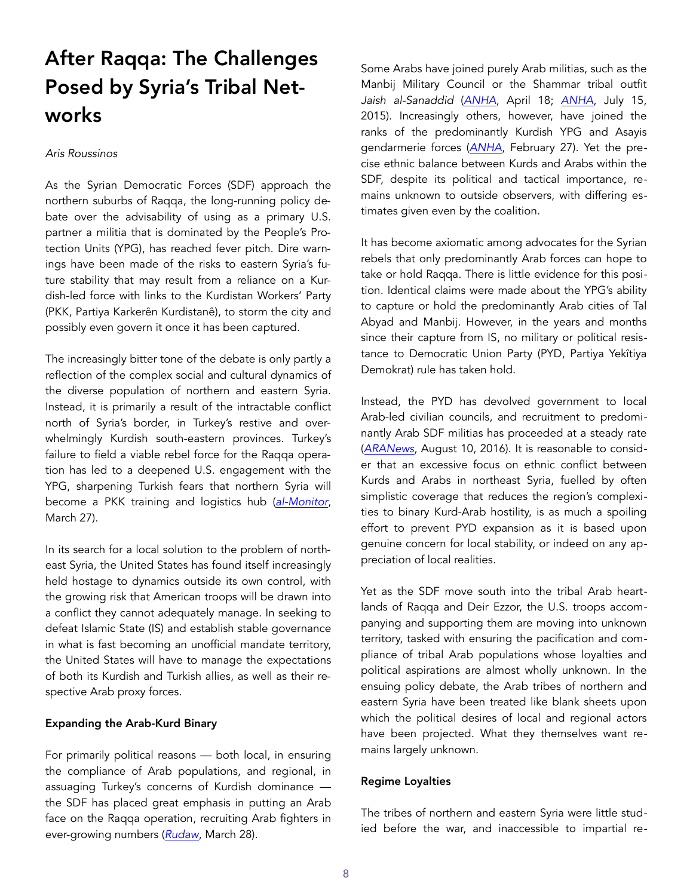# After Raqqa: The Challenges Posed by Syria's Tribal Networks

#### *Aris Roussinos*

As the Syrian Democratic Forces (SDF) approach the northern suburbs of Raqqa, the long-running policy debate over the advisability of using as a primary U.S. partner a militia that is dominated by the People's Protection Units (YPG), has reached fever pitch. Dire warnings have been made of the risks to eastern Syria's future stability that may result from a reliance on a Kurdish-led force with links to the Kurdistan Workers' Party (PKK, Partiya Karkerên Kurdistanê), to storm the city and possibly even govern it once it has been captured.

The increasingly bitter tone of the debate is only partly a reflection of the complex social and cultural dynamics of the diverse population of northern and eastern Syria. Instead, it is primarily a result of the intractable conflict north of Syria's border, in Turkey's restive and overwhelmingly Kurdish south-eastern provinces. Turkey's failure to field a viable rebel force for the Raqqa operation has led to a deepened U.S. engagement with the YPG, sharpening Turkish fears that northern Syria will become a PKK training and logistics hub (*[al-Monitor](http://www.al-monitor.com/pulse/en/originals/2017/04/turkey-post-mortem-in-syria.html)*, March 27).

In its search for a local solution to the problem of northeast Syria, the United States has found itself increasingly held hostage to dynamics outside its own control, with the growing risk that American troops will be drawn into a conflict they cannot adequately manage. In seeking to defeat Islamic State (IS) and establish stable governance in what is fast becoming an unofficial mandate territory, the United States will have to manage the expectations of both its Kurdish and Turkish allies, as well as their respective Arab proxy forces.

### Expanding the Arab-Kurd Binary

For primarily political reasons — both local, in ensuring the compliance of Arab populations, and regional, in assuaging Turkey's concerns of Kurdish dominance the SDF has placed great emphasis in putting an Arab face on the Raqqa operation, recruiting Arab fighters in ever-growing numbers (*[Rudaw](http://www.rudaw.net/english/middleeast/syria/28032017)*, March 28).

Some Arabs have joined purely Arab militias, such as the Manbij Military Council or the Shammar tribal outfit *Jaish al-Sanaddid* (*[ANHA](http://en.hawarnews.com/al-sanadid-forces-we-go-wherever-the-ypg-goes/)*, April 18; *[ANHA](http://en.hawarnews.com/al-sanadid-forces-we-go-wherever-the-ypg-goes/)*, July 15, 2015). Increasingly others, however, have joined the ranks of the predominantly Kurdish YPG and Asayis gendarmerie forces (*[ANHA](http://en.hawarnews.com/48-arab-youths-join-the-ypg-ranks/)*, February 27). Yet the precise ethnic balance between Kurds and Arabs within the SDF, despite its political and tactical importance, remains unknown to outside observers, with differing estimates given even by the coalition.

It has become axiomatic among advocates for the Syrian rebels that only predominantly Arab forces can hope to take or hold Raqqa. There is little evidence for this position. Identical claims were made about the YPG's ability to capture or hold the predominantly Arab cities of Tal Abyad and Manbij. However, in the years and months since their capture from IS, no military or political resistance to Democratic Union Party (PYD, Partiya Yekîtiya Demokrat) rule has taken hold.

Instead, the PYD has devolved government to local Arab-led civilian councils, and recruitment to predominantly Arab SDF militias has proceeded at a steady rate (*[ARANews](http://aranews.net/2016/08/kurds-arab-tribes-discuss-federal-system-project-northern-syria/)*, August 10, 2016). It is reasonable to consider that an excessive focus on ethnic conflict between Kurds and Arabs in northeast Syria, fuelled by often simplistic coverage that reduces the region's complexities to binary Kurd-Arab hostility, is as much a spoiling effort to prevent PYD expansion as it is based upon genuine concern for local stability, or indeed on any appreciation of local realities.

Yet as the SDF move south into the tribal Arab heartlands of Raqqa and Deir Ezzor, the U.S. troops accompanying and supporting them are moving into unknown territory, tasked with ensuring the pacification and compliance of tribal Arab populations whose loyalties and political aspirations are almost wholly unknown. In the ensuing policy debate, the Arab tribes of northern and eastern Syria have been treated like blank sheets upon which the political desires of local and regional actors have been projected. What they themselves want remains largely unknown.

### Regime Loyalties

The tribes of northern and eastern Syria were little studied before the war, and inaccessible to impartial re-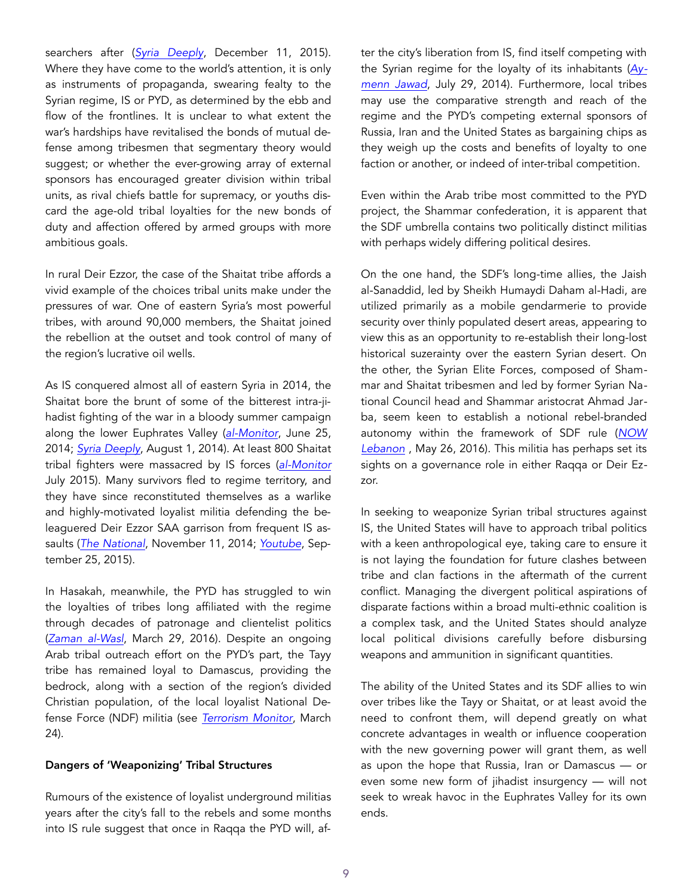searchers after (*[Syria Deeply](https://www.newsdeeply.com/syria/community/2015/12/11/tribal-blood-ties-and-syrias-civil-war-qa)*, December 11, 2015). Where they have come to the world's attention, it is only as instruments of propaganda, swearing fealty to the Syrian regime, IS or PYD, as determined by the ebb and flow of the frontlines. It is unclear to what extent the war's hardships have revitalised the bonds of mutual defense among tribesmen that segmentary theory would suggest; or whether the ever-growing array of external sponsors has encouraged greater division within tribal units, as rival chiefs battle for supremacy, or youths discard the age-old tribal loyalties for the new bonds of duty and affection offered by armed groups with more ambitious goals.

In rural Deir Ezzor, the case of the Shaitat tribe affords a vivid example of the choices tribal units make under the pressures of war. One of eastern Syria's most powerful tribes, with around 90,000 members, the Shaitat joined the rebellion at the outset and took control of many of the region's lucrative oil wells.

As IS conquered almost all of eastern Syria in 2014, the Shaitat bore the brunt of some of the bitterest intra-jihadist fighting of the war in a bloody summer campaign along the lower Euphrates Valley (*[al-Monitor](http://www.al-monitor.com/pulse/security/2014/06/syria-deir-ez-zor-intra-jihadist-battles-isis-nusra.html)*, June 25, 2014; *[Syria Deeply](https://www.newsdeeply.com/syria/articles/2014/08/01/as-isis-advances-in-eastern-syria-local-tribes-stand-in-its-way)*, August 1, 2014). At least 800 Shaitat tribal fighters were massacred by IS forces (*[al-Monitor](http://www.al-monitor.com/pulse/originals/2015/07/turkey-der-zor-isis-attack-international-coalition.html)* July 2015). Many survivors fled to regime territory, and they have since reconstituted themselves as a warlike and highly-motivated loyalist militia defending the beleaguered Deir Ezzor SAA garrison from frequent IS assaults (*[The National](http://www.thenational.ae/opinion/comment/dont-bank-on-tribes-rising-up-to-combat-isil)*, November 11, 2014; *[Youtube](https://www.youtube.com/watch?v=kPhlljEhAFo)*, September 25, 2015).

In Hasakah, meanwhile, the PYD has struggled to win the loyalties of tribes long affiliated with the regime through decades of patronage and clientelist politics (*[Zaman al-Wasl](https://en.zamanalwsl.net/news/14909.html)*, March 29, 2016). Despite an ongoing Arab tribal outreach effort on the PYD's part, the Tayy tribe has remained loyal to Damascus, providing the bedrock, along with a section of the region's divided Christian population, of the local loyalist National Defense Force (NDF) militia (see *[Terrorism Monitor](https://jamestown.org/program/institutionalized-warlordism-syrias-national-defense-force/)*, March 24).

## Dangers of 'Weaponizing' Tribal Structures

Rumours of the existence of loyalist underground militias years after the city's fall to the rebels and some months into IS rule suggest that once in Raqqa the PYD will, after the city's liberation from IS, find itself competing with the Syrian regime for the loyalty of its inhabitants (*[Ay](http://www.aymennjawad.org/15100/the-factions-of-raqqa-province)[menn Jawad](http://www.aymennjawad.org/15100/the-factions-of-raqqa-province)*, July 29, 2014). Furthermore, local tribes may use the comparative strength and reach of the regime and the PYD's competing external sponsors of Russia, Iran and the United States as bargaining chips as they weigh up the costs and benefits of loyalty to one faction or another, or indeed of inter-tribal competition.

Even within the Arab tribe most committed to the PYD project, the Shammar confederation, it is apparent that the SDF umbrella contains two politically distinct militias with perhaps widely differing political desires.

On the one hand, the SDF's long-time allies, the Jaish al-Sanaddid, led by Sheikh Humaydi Daham al-Hadi, are utilized primarily as a mobile gendarmerie to provide security over thinly populated desert areas, appearing to view this as an opportunity to re-establish their long-lost historical suzerainty over the eastern Syrian desert. On the other, the Syrian Elite Forces, composed of Shammar and Shaitat tribesmen and led by former Syrian National Council head and Shammar aristocrat Ahmad Jarba, seem keen to establish a notional rebel-branded autonomy within the framework of SDF rule (*[NOW](https://now.mmedia.me/lb/en/NewsReports/567033-new-rebel-force-battling-isis-in-northeast-syria)  [Lebanon](https://now.mmedia.me/lb/en/NewsReports/567033-new-rebel-force-battling-isis-in-northeast-syria)* , May 26, 2016). This militia has perhaps set its sights on a governance role in either Raqqa or Deir Ezzor.

In seeking to weaponize Syrian tribal structures against IS, the United States will have to approach tribal politics with a keen anthropological eye, taking care to ensure it is not laying the foundation for future clashes between tribe and clan factions in the aftermath of the current conflict. Managing the divergent political aspirations of disparate factions within a broad multi-ethnic coalition is a complex task, and the United States should analyze local political divisions carefully before disbursing weapons and ammunition in significant quantities.

The ability of the United States and its SDF allies to win over tribes like the Tayy or Shaitat, or at least avoid the need to confront them, will depend greatly on what concrete advantages in wealth or influence cooperation with the new governing power will grant them, as well as upon the hope that Russia, Iran or Damascus — or even some new form of jihadist insurgency — will not seek to wreak havoc in the Euphrates Valley for its own ends.